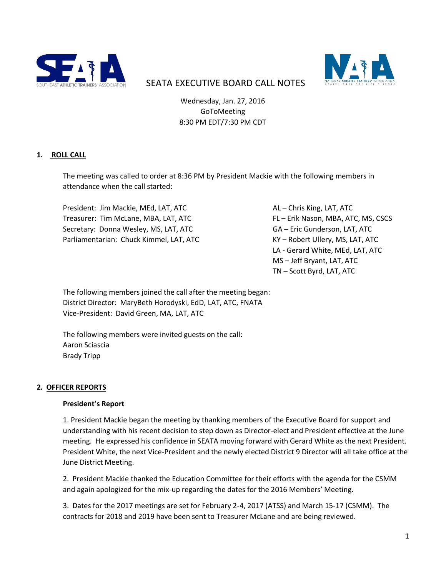



# SEATA EXECUTIVE BOARD CALL NOTES

Wednesday, Jan. 27, 2016 GoToMeeting 8:30 PM EDT/7:30 PM CDT

# **1. ROLL CALL**

The meeting was called to order at 8:36 PM by President Mackie with the following members in attendance when the call started:

President: Jim Mackie, MEd, LAT, ATC AL – Chris King, LAT, ATC Treasurer: Tim McLane, MBA, LAT, ATC FLAT FL – Erik Nason, MBA, ATC, MS, CSCS Secretary: Donna Wesley, MS, LAT, ATC GA – Eric Gunderson, LAT, ATC Parliamentarian: Chuck Kimmel, LAT, ATC KY – Robert Ullery, MS, LAT, ATC

LA - Gerard White, MEd, LAT, ATC MS – Jeff Bryant, LAT, ATC TN – Scott Byrd, LAT, ATC

The following members joined the call after the meeting began: District Director: MaryBeth Horodyski, EdD, LAT, ATC, FNATA Vice-President: David Green, MA, LAT, ATC

The following members were invited guests on the call: Aaron Sciascia Brady Tripp

#### **2. OFFICER REPORTS**

#### **President's Report**

1. President Mackie began the meeting by thanking members of the Executive Board for support and understanding with his recent decision to step down as Director-elect and President effective at the June meeting. He expressed his confidence in SEATA moving forward with Gerard White as the next President. President White, the next Vice-President and the newly elected District 9 Director will all take office at the June District Meeting.

2. President Mackie thanked the Education Committee for their efforts with the agenda for the CSMM and again apologized for the mix-up regarding the dates for the 2016 Members' Meeting.

3. Dates for the 2017 meetings are set for February 2-4, 2017 (ATSS) and March 15-17 (CSMM). The contracts for 2018 and 2019 have been sent to Treasurer McLane and are being reviewed.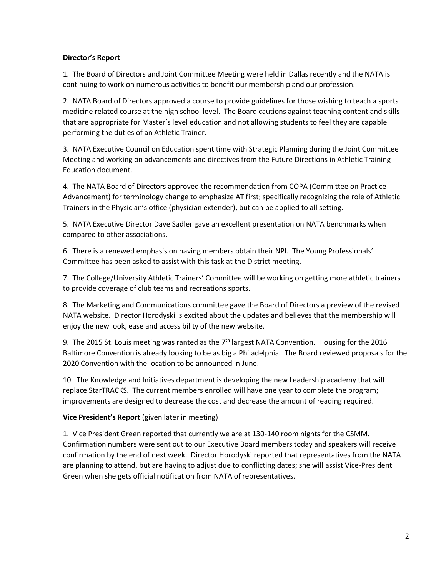## **Director's Report**

1. The Board of Directors and Joint Committee Meeting were held in Dallas recently and the NATA is continuing to work on numerous activities to benefit our membership and our profession.

2. NATA Board of Directors approved a course to provide guidelines for those wishing to teach a sports medicine related course at the high school level. The Board cautions against teaching content and skills that are appropriate for Master's level education and not allowing students to feel they are capable performing the duties of an Athletic Trainer.

3. NATA Executive Council on Education spent time with Strategic Planning during the Joint Committee Meeting and working on advancements and directives from the Future Directions in Athletic Training Education document.

4. The NATA Board of Directors approved the recommendation from COPA (Committee on Practice Advancement) for terminology change to emphasize AT first; specifically recognizing the role of Athletic Trainers in the Physician's office (physician extender), but can be applied to all setting.

5. NATA Executive Director Dave Sadler gave an excellent presentation on NATA benchmarks when compared to other associations.

6. There is a renewed emphasis on having members obtain their NPI. The Young Professionals' Committee has been asked to assist with this task at the District meeting.

7. The College/University Athletic Trainers' Committee will be working on getting more athletic trainers to provide coverage of club teams and recreations sports.

8. The Marketing and Communications committee gave the Board of Directors a preview of the revised NATA website. Director Horodyski is excited about the updates and believes that the membership will enjoy the new look, ease and accessibility of the new website.

9. The 2015 St. Louis meeting was ranted as the  $7<sup>th</sup>$  largest NATA Convention. Housing for the 2016 Baltimore Convention is already looking to be as big a Philadelphia. The Board reviewed proposals for the 2020 Convention with the location to be announced in June.

10. The Knowledge and Initiatives department is developing the new Leadership academy that will replace StarTRACKS. The current members enrolled will have one year to complete the program; improvements are designed to decrease the cost and decrease the amount of reading required.

# **Vice President's Report** (given later in meeting)

1. Vice President Green reported that currently we are at 130-140 room nights for the CSMM. Confirmation numbers were sent out to our Executive Board members today and speakers will receive confirmation by the end of next week. Director Horodyski reported that representatives from the NATA are planning to attend, but are having to adjust due to conflicting dates; she will assist Vice-President Green when she gets official notification from NATA of representatives.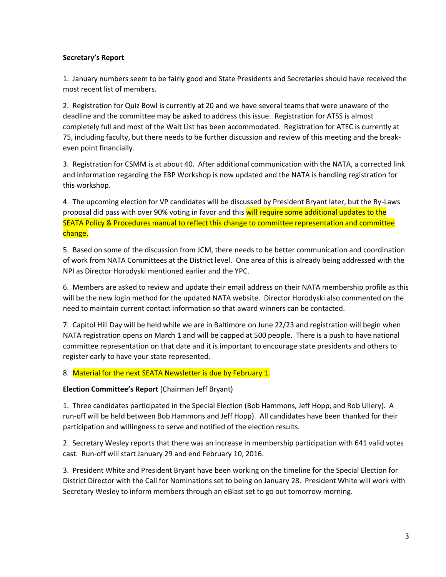## **Secretary's Report**

1. January numbers seem to be fairly good and State Presidents and Secretaries should have received the most recent list of members.

2.Registration for Quiz Bowl is currently at 20 and we have several teams that were unaware of the deadline and the committee may be asked to address this issue. Registration for ATSS is almost completely full and most of the Wait List has been accommodated. Registration for ATEC is currently at 75, including faculty, but there needs to be further discussion and review of this meeting and the breakeven point financially.

3. Registration for CSMM is at about 40. After additional communication with the NATA, a corrected link and information regarding the EBP Workshop is now updated and the NATA is handling registration for this workshop.

4. The upcoming election for VP candidates will be discussed by President Bryant later, but the By-Laws proposal did pass with over 90% voting in favor and this will require some additional updates to the SEATA Policy & Procedures manual to reflect this change to committee representation and committee change.

5. Based on some of the discussion from JCM, there needs to be better communication and coordination of work from NATA Committees at the District level. One area of this is already being addressed with the NPI as Director Horodyski mentioned earlier and the YPC.

6. Members are asked to review and update their email address on their NATA membership profile as this will be the new login method for the updated NATA website. Director Horodyski also commented on the need to maintain current contact information so that award winners can be contacted.

7. Capitol Hill Day will be held while we are in Baltimore on June 22/23 and registration will begin when NATA registration opens on March 1 and will be capped at 500 people. There is a push to have national committee representation on that date and it is important to encourage state presidents and others to register early to have your state represented.

# 8. Material for the next SEATA Newsletter is due by February 1.

#### **Election Committee's Report** (Chairman Jeff Bryant)

1. Three candidates participated in the Special Election (Bob Hammons, Jeff Hopp, and Rob Ullery). A run-off will be held between Bob Hammons and Jeff Hopp). All candidates have been thanked for their participation and willingness to serve and notified of the election results.

2. Secretary Wesley reports that there was an increase in membership participation with 641 valid votes cast. Run-off will start January 29 and end February 10, 2016.

3. President White and President Bryant have been working on the timeline for the Special Election for District Director with the Call for Nominations set to being on January 28. President White will work with Secretary Wesley to inform members through an eBlast set to go out tomorrow morning.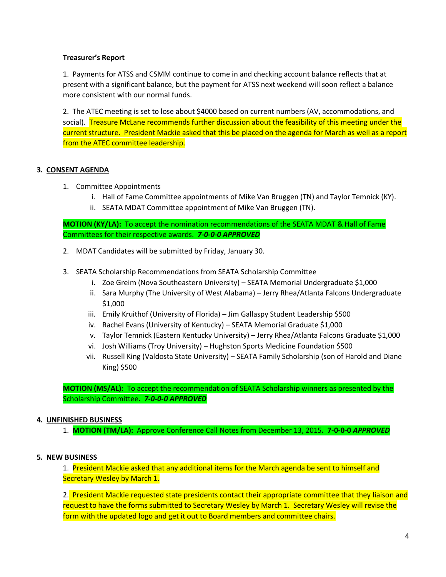## **Treasurer's Report**

1. Payments for ATSS and CSMM continue to come in and checking account balance reflects that at present with a significant balance, but the payment for ATSS next weekend will soon reflect a balance more consistent with our normal funds.

2. The ATEC meeting is set to lose about \$4000 based on current numbers (AV, accommodations, and social). Treasure McLane recommends further discussion about the feasibility of this meeting under the current structure. President Mackie asked that this be placed on the agenda for March as well as a report from the ATEC committee leadership.

# **3. CONSENT AGENDA**

- 1. Committee Appointments
	- i. Hall of Fame Committee appointments of Mike Van Bruggen (TN) and Taylor Temnick (KY).
	- ii. SEATA MDAT Committee appointment of Mike Van Bruggen (TN).

**MOTION (KY/LA):** To accept the nomination recommendations of the SEATA MDAT & Hall of Fame Committees for their respective awards.*7-0-0-0 APPROVED*

- 2. MDAT Candidates will be submitted by Friday, January 30.
- 3. SEATA Scholarship Recommendations from SEATA Scholarship Committee
	- i. Zoe Greim (Nova Southeastern University) SEATA Memorial Undergraduate \$1,000
	- ii. Sara Murphy (The University of West Alabama) Jerry Rhea/Atlanta Falcons Undergraduate \$1,000
	- iii. Emily Kruithof (University of Florida) Jim Gallaspy Student Leadership \$500
	- iv. Rachel Evans (University of Kentucky) SEATA Memorial Graduate \$1,000
	- v. Taylor Temnick (Eastern Kentucky University) Jerry Rhea/Atlanta Falcons Graduate \$1,000
	- vi. Josh Williams (Troy University) Hughston Sports Medicine Foundation \$500
	- vii. Russell King (Valdosta State University) SEATA Family Scholarship (son of Harold and Diane King) \$500

**MOTION (MS/AL):** To accept the recommendation of SEATA Scholarship winners as presented by the Scholarship Committee**.** *7-0-0-0 APPROVED*

#### **4. UNFINISHED BUSINESS**

1. **MOTION (TM/LA):** Approve Conference Call Notes from December 13, 2015**. 7-0-0-0** *APPROVED*

#### **5. NEW BUSINESS**

1. President Mackie asked that any additional items for the March agenda be sent to himself and Secretary Wesley by March 1.

2. President Mackie requested state presidents contact their appropriate committee that they liaison and request to have the forms submitted to Secretary Wesley by March 1. Secretary Wesley will revise the form with the updated logo and get it out to Board members and committee chairs.